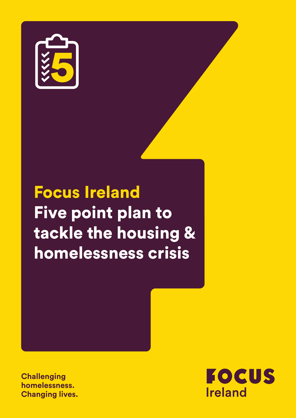

# Focus Ireland Five point plan to tackle the housing & homelessness crisis

**Challenging homelessness. Changing lives.**

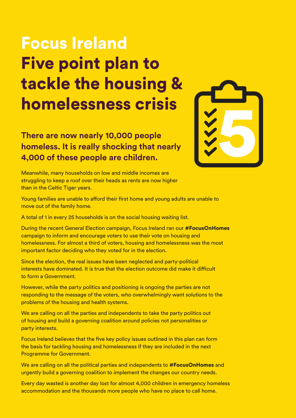# Focus Ireland Five point plan to tackle the housing & homelessness crisis

**There are now nearly 10,000 people homeless. It is really shocking that nearly 4,000 of these people are children.**



Meanwhile, many households on low and middle incomes are struggling to keep a roof over their heads as rents are now higher than in the Celtic Tiger years.

Young families are unable to afford their first home and young adults are unable to move out of the family home.

A total of 1 in every 25 households is on the social housing waiting list.

During the recent General Election campaign, Focus Ireland ran our #FocusOnHomes campaign to inform and encourage voters to use their vote on housing and homelessness. For almost a third of voters, housing and homelessness was the most important factor deciding who they voted for in the election.

Since the election, the real issues have been neglected and party-political interests have dominated. It is true that the election outcome did make it difficult to form a Government.

However, while the party politics and positioning is ongoing the parties are not responding to the message of the voters, who overwhelmingly want solutions to the problems of the housing and health systems.

We are calling on all the parties and independents to take the party politics out of housing and build a governing coalition around policies not personalities or party interests.

Focus Ireland believes that the five key policy issues outlined in this plan can form the basis for tackling housing and homelessness if they are included in the next Programme for Government.

We are calling on all the political parties and independents to **#FocusOnHomes** and urgently build a governing coalition to implement the changes our country needs.

Every day wasted is another day lost for almost 4,000 children in emergency homeless accommodation and the thousands more people who have no place to call home.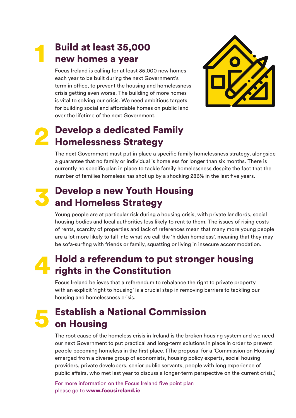### **Build at least 35,000** new homes a year

Focus Ireland is calling for at least 35,000 new homes each year to be built during the next Government's term in office, to prevent the housing and homelessness crisis getting even worse. The building of more homes is vital to solving our crisis. We need ambitious targets for building social and affordable homes on public land over the lifetime of the next Government.



## **Develop a dedicated Family** Homelessness Strategy

The next Government must put in place a specific family homelessness strategy, alongside a guarantee that no family or individual is homeless for longer than six months. There is currently no specific plan in place to tackle family homelessness despite the fact that the number of families homeless has shot up by a shocking 286% in the last five years.

#### **Develop a new Youth Housing** and Homeless Strategy

Young people are at particular risk during a housing crisis, with private landlords, social housing bodies and local authorities less likely to rent to them. The issues of rising costs of rents, scarcity of properties and lack of references mean that many more young people are a lot more likely to fall into what we call the 'hidden homeless', meaning that they may be sofa-surfing with friends or family, squatting or living in insecure accommodation.

#### 4 Hold a referendum to put stronger housing rights in the Constitution

Focus Ireland believes that a referendum to rebalance the right to private property with an explicit 'right to housing' is a crucial step in removing barriers to tackling our housing and homelessness crisis.

### 5 Establish a National Commission on Housing

The root cause of the homeless crisis in Ireland is the broken housing system and we need our next Government to put practical and long-term solutions in place in order to prevent people becoming homeless in the first place. (The proposal for a 'Commission on Housing' emerged from a diverse group of economists, housing policy experts, social housing providers, private developers, senior public servants, people with long experience of public affairs, who met last year to discuss a longer-term perspective on the current crisis.)

For more information on the Focus Ireland five point plan please go to www.focusireland.ie